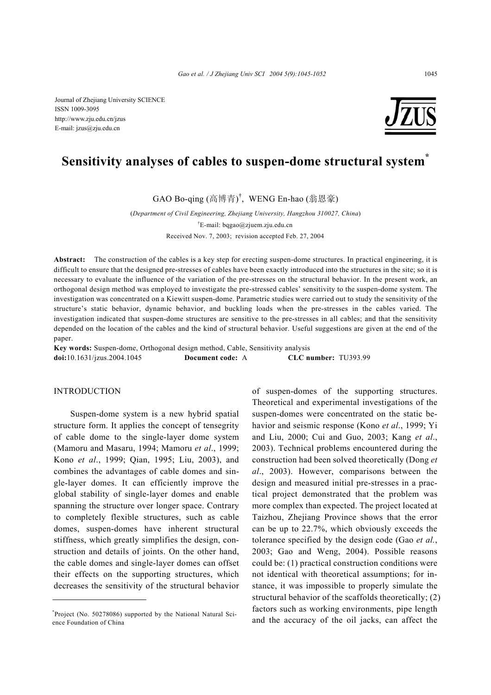Journal of Zhejiang University SCIENCE ISSN 1009-3095 http://www.zju.edu.cn/jzus E-mail: jzus@zju.edu.cn



# **Sensitivity analyses of cables to suspen-dome structural system\***

GAO Bo-qing (高博青) † , WENG En-hao (翁恩豪)

(*Department of Civil Engineering, Zhejiang University, Hangzhou 310027, China*) † E-mail: bqgao@zjuem.zju.edu.cn Received Nov. 7, 2003; revision accepted Feb. 27, 2004

**Abstract:** The construction of the cables is a key step for erecting suspen-dome structures. In practical engineering, it is difficult to ensure that the designed pre-stresses of cables have been exactly introduced into the structures in the site; so it is necessary to evaluate the influence of the variation of the pre-stresses on the structural behavior. In the present work, an orthogonal design method was employed to investigate the pre-stressed cables' sensitivity to the suspen-dome system. The investigation was concentrated on a Kiewitt suspen-dome. Parametric studies were carried out to study the sensitivity of the structure's static behavior, dynamic behavior, and buckling loads when the pre-stresses in the cables varied. The investigation indicated that suspen-dome structures are sensitive to the pre-stresses in all cables; and that the sensitivity depended on the location of the cables and the kind of structural behavior. Useful suggestions are given at the end of the paper.

**Key words:** Suspen-dome, Orthogonal design method, Cable, Sensitivity analysis **doi:**10.1631/jzus.2004.1045 **Document code:** A **CLC number:** TU393.99

#### INTRODUCTION

Suspen-dome system is a new hybrid spatial structure form. It applies the concept of tensegrity of cable dome to the single-layer dome system (Mamoru and Masaru, 1994; Mamoru *et al*., 1999; Kono *et al*., 1999; Qian, 1995; Liu, 2003), and combines the advantages of cable domes and single-layer domes. It can efficiently improve the global stability of single-layer domes and enable spanning the structure over longer space. Contrary to completely flexible structures, such as cable domes, suspen-domes have inherent structural stiffness, which greatly simplifies the design, construction and details of joints. On the other hand, the cable domes and single-layer domes can offset their effects on the supporting structures, which decreases the sensitivity of the structural behavior of suspen-domes of the supporting structures. Theoretical and experimental investigations of the suspen-domes were concentrated on the static behavior and seismic response (Kono *et al*., 1999; Yi and Liu, 2000; Cui and Guo, 2003; Kang *et al*., 2003). Technical problems encountered during the construction had been solved theoretically (Dong *et al*., 2003). However, comparisons between the design and measured initial pre-stresses in a practical project demonstrated that the problem was more complex than expected. The project located at Taizhou, Zhejiang Province shows that the error can be up to 22.7%, which obviously exceeds the tolerance specified by the design code (Gao *et al.*, 2003; Gao and Weng, 2004). Possible reasons could be: (1) practical construction conditions were not identical with theoretical assumptions; for instance, it was impossible to properly simulate the structural behavior of the scaffolds theoretically; (2) factors such as working environments, pipe length and the accuracy of the oil jacks, can affect the

<sup>\*</sup> Project (No. 50278086) supported by the National Natural Science Foundation of China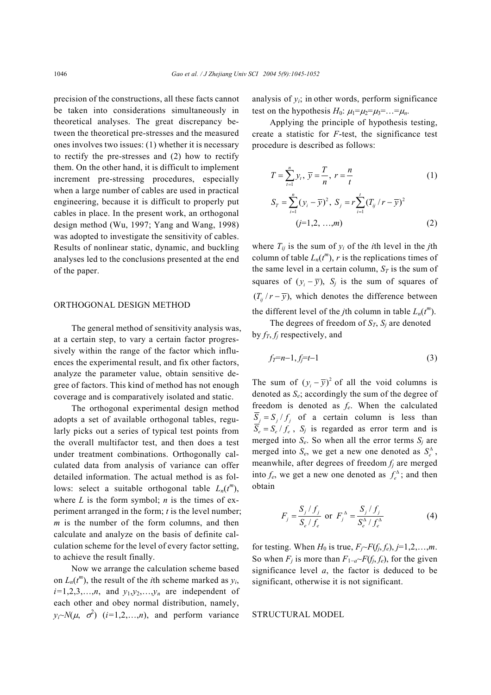precision of the constructions, all these facts cannot be taken into considerations simultaneously in theoretical analyses. The great discrepancy between the theoretical pre-stresses and the measured ones involves two issues: (1) whether it is necessary to rectify the pre-stresses and (2) how to rectify them. On the other hand, it is difficult to implement increment pre-stressing procedures, especially when a large number of cables are used in practical engineering, because it is difficult to properly put cables in place. In the present work, an orthogonal design method (Wu, 1997; Yang and Wang, 1998) was adopted to investigate the sensitivity of cables. Results of nonlinear static, dynamic, and buckling analyses led to the conclusions presented at the end of the paper.

#### ORTHOGONAL DESIGN METHOD

The general method of sensitivity analysis was, at a certain step, to vary a certain factor progressively within the range of the factor which influences the experimental result, and fix other factors, analyze the parameter value, obtain sensitive degree of factors. This kind of method has not enough coverage and is comparatively isolated and static.

The orthogonal experimental design method adopts a set of available orthogonal tables, regularly picks out a series of typical test points from the overall multifactor test, and then does a test under treatment combinations. Orthogonally calculated data from analysis of variance can offer detailed information. The actual method is as follows: select a suitable orthogonal table  $L_n(t^m)$ , where  $L$  is the form symbol;  $n$  is the times of experiment arranged in the form; *t* is the level number; *m* is the number of the form columns, and then calculate and analyze on the basis of definite calculation scheme for the level of every factor setting, to achieve the result finally.

Now we arrange the calculation scheme based on  $L_n(t^m)$ , the result of the *i*th scheme marked as  $y_i$ ,  $i=1,2,3,\ldots,n$ , and  $y_1,y_2,\ldots,y_n$  are independent of each other and obey normal distribution, namely,  $y_i \sim N(\mu, \sigma^2)$  (*i*=1,2,...,*n*), and perform variance analysis of  $y_i$ ; in other words, perform significance test on the hypothesis  $H_0$ :  $\mu_1 = \mu_2 = \mu_3 = \ldots = \mu_n$ .

Applying the principle of hypothesis testing, create a statistic for *F*-test, the significance test procedure is described as follows:

$$
T = \sum_{t=1}^{n} y_t, \ \overline{y} = \frac{T}{n}, \ r = \frac{n}{t}
$$
 (1)

$$
S_{T} = \sum_{i=1}^{n} (y_{i} - \overline{y})^{2}, S_{j} = r \sum_{i=1}^{t} (T_{ij} / r - \overline{y})^{2}
$$
  
(j=1,2, ...,m) (2)

where  $T_{ij}$  is the sum of  $y_i$  of the *i*th level in the *j*th column of table  $L_n(t^m)$ , r is the replications times of the same level in a certain column,  $S_T$  is the sum of squares of  $(y_i - \overline{y})$ ,  $S_j$  is the sum of squares of  $(T_{ii}/r - \overline{y})$ , which denotes the difference between the different level of the *j*th column in table  $L_n(t^m)$ .

The degrees of freedom of  $S_T$ ,  $S_j$  are denoted by  $f_T$ ,  $f_j$  respectively, and

$$
f_T = n - 1, f_j = t - 1 \tag{3}
$$

The sum of  $(y_i - \overline{y})^2$  of all the void columns is denoted as *Se*; accordingly the sum of the degree of freedom is denoted as *fe*. When the calculated  $\overline{S}_i = S_i / f_i$  of a certain column is less than  $\overline{S}_e = S_e / f_e$ ,  $S_j$  is regarded as error term and is merged into  $S_e$ . So when all the error terms  $S_i$  are merged into  $S_e$ , we get a new one denoted as  $S_e^{\Delta}$ , meanwhile, after degrees of freedom *fj* are merged into  $f_e$ , we get a new one denoted as  $f_e^{\Delta}$ ; and then obtain

$$
F_j = \frac{S_j / f_j}{S_e / f_e} \text{ or } F_j^{\Delta} = \frac{S_j / f_j}{S_e^{\Delta} / f_e^{\Delta}}
$$
(4)

for testing. When  $H_0$  is true,  $F_i \sim F(f_i, f_e)$ ,  $j=1,2,...,m$ . So when  $F_i$  is more than  $F_1$ <sub>-*a*</sub>~ $F(f_i, f_e)$ , for the given significance level  $a$ , the factor is deduced to be significant, otherwise it is not significant.

#### STRUCTURAL MODEL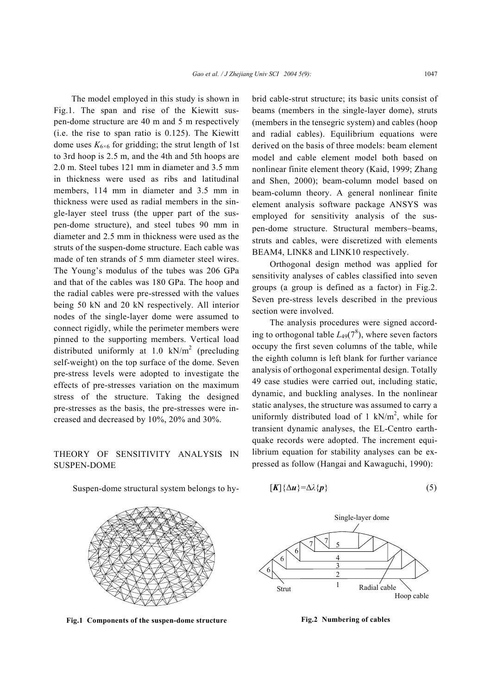The model employed in this study is shown in Fig.1. The span and rise of the Kiewitt suspen-dome structure are 40 m and 5 m respectively (i.e. the rise to span ratio is 0.125). The Kiewitt dome uses  $K_{6\times6}$  for gridding; the strut length of 1st to 3rd hoop is 2.5 m, and the 4th and 5th hoops are 2.0 m. Steel tubes 121 mm in diameter and 3.5 mm in thickness were used as ribs and latitudinal members, 114 mm in diameter and 3.5 mm in thickness were used as radial members in the single-layer steel truss (the upper part of the suspen-dome structure), and steel tubes 90 mm in diameter and 2.5 mm in thickness were used as the struts of the suspen-dome structure. Each cable was made of ten strands of 5 mm diameter steel wires. The Young's modulus of the tubes was 206 GPa and that of the cables was 180 GPa. The hoop and the radial cables were pre-stressed with the values being 50 kN and 20 kN respectively. All interior nodes of the single-layer dome were assumed to connect rigidly, while the perimeter members were pinned to the supporting members. Vertical load distributed uniformly at 1.0  $kN/m^2$  (precluding self-weight) on the top surface of the dome. Seven pre-stress levels were adopted to investigate the effects of pre-stresses variation on the maximum stress of the structure. Taking the designed pre-stresses as the basis, the pre-stresses were increased and decreased by 10%, 20% and 30%.

## THEORY OF SENSITIVITY ANALYSIS IN SUSPEN-DOME

Suspen-dome structural system belongs to hy-

brid cable-strut structure; its basic units consist of beams (members in the single-layer dome), struts (members in the tensegric system) and cables (hoop and radial cables). Equilibrium equations were derived on the basis of three models: beam element model and cable element model both based on nonlinear finite element theory (Kaid, 1999; Zhang and Shen, 2000); beam-column model based on beam-column theory. A general nonlinear finite element analysis software package ANSYS was employed for sensitivity analysis of the suspen-dome structure. Structural members−beams, struts and cables, were discretized with elements BEAM4, LINK8 and LINK10 respectively.

Orthogonal design method was applied for sensitivity analyses of cables classified into seven groups (a group is defined as a factor) in Fig.2. Seven pre-stress levels described in the previous section were involved.

The analysis procedures were signed according to orthogonal table  $L_{49}(7^8)$ , where seven factors occupy the first seven columns of the table, while the eighth column is left blank for further variance analysis of orthogonal experimental design. Totally 49 case studies were carried out, including static, dynamic, and buckling analyses. In the nonlinear static analyses, the structure was assumed to carry a uniformly distributed load of 1 kN/ $m^2$ , while for transient dynamic analyses, the EL-Centro earthquake records were adopted. The increment equilibrium equation for stability analyses can be expressed as follow (Hangai and Kawaguchi, 1990):



**Fig.1 Components of the suspen-dome structure**

$$
[K]\{\Delta u\}=\Delta\lambda\{p\}\tag{5}
$$



**Fig.2 Numbering of cables**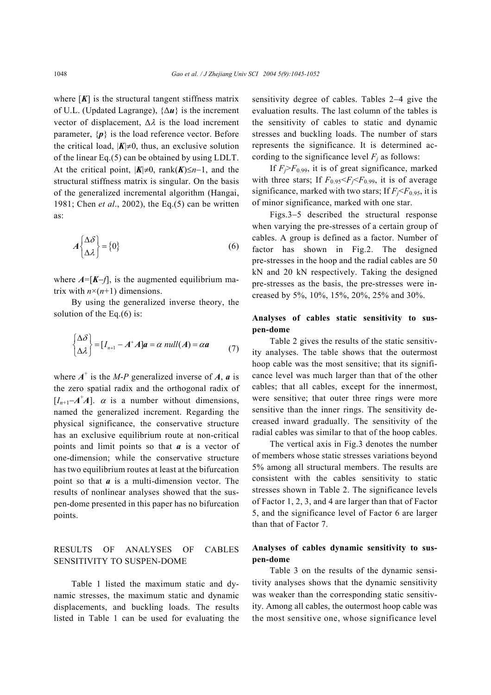where  $[K]$  is the structural tangent stiffness matrix of U.L. (Updated Lagrange), {∆*u*} is the increment vector of displacement,  $\Delta \lambda$  is the load increment parameter,  $\{p\}$  is the load reference vector. Before the critical load,  $|K| \neq 0$ , thus, an exclusive solution of the linear Eq.(5) can be obtained by using LDLT. At the critical point,  $|K| \neq 0$ , rank $(K) \leq n-1$ , and the structural stiffness matrix is singular. On the basis of the generalized incremental algorithm (Hangai, 1981; Chen *et al*., 2002), the Eq.(5) can be written as:

$$
A \begin{Bmatrix} \Delta \delta \\ \Delta \lambda \end{Bmatrix} = \{0\} \tag{6}
$$

where  $A = [K - f]$ , is the augmented equilibrium matrix with  $n\times(n+1)$  dimensions.

By using the generalized inverse theory, the solution of the Eq.(6) is:

$$
\begin{cases} \Delta \delta \\ \Delta \lambda \end{cases} = [I_{n+1} - A^* A]a = \alpha \text{ null}(A) = \alpha a \tag{7}
$$

where  $A^+$  is the *M-P* generalized inverse of *A*, *a* is the zero spatial radix and the orthogonal radix of  $[I_{n+1} - A^{\dagger} A]$ .  $\alpha$  is a number without dimensions, named the generalized increment. Regarding the physical significance, the conservative structure has an exclusive equilibrium route at non-critical points and limit points so that *a* is a vector of one-dimension; while the conservative structure has two equilibrium routes at least at the bifurcation point so that *a* is a multi-dimension vector. The results of nonlinear analyses showed that the suspen-dome presented in this paper has no bifurcation points.

## RESULTS OF ANALYSES OF CABLES SENSITIVITY TO SUSPEN-DOME

Table 1 listed the maximum static and dynamic stresses, the maximum static and dynamic displacements, and buckling loads. The results listed in Table 1 can be used for evaluating the sensitivity degree of cables. Tables 2−4 give the evaluation results. The last column of the tables is the sensitivity of cables to static and dynamic stresses and buckling loads. The number of stars represents the significance. It is determined according to the significance level  $F_j$  as follows:

If  $F_i > F_{0.99}$ , it is of great significance, marked with three stars; If  $F_{0.95} < F_i < F_{0.99}$ , it is of average significance, marked with two stars; If  $F_i \le F_{0.95}$ , it is of minor significance, marked with one star.

Figs.3−5 described the structural response when varying the pre-stresses of a certain group of cables. A group is defined as a factor. Number of factor has shown in Fig.2. The designed pre-stresses in the hoop and the radial cables are 50 kN and 20 kN respectively. Taking the designed pre-stresses as the basis, the pre-stresses were increased by 5%, 10%, 15%, 20%, 25% and 30%.

## **Analyses of cables static sensitivity to suspen-dome**

Table 2 gives the results of the static sensitivity analyses. The table shows that the outermost hoop cable was the most sensitive; that its significance level was much larger than that of the other cables; that all cables, except for the innermost, were sensitive; that outer three rings were more sensitive than the inner rings. The sensitivity decreased inward gradually. The sensitivity of the radial cables was similar to that of the hoop cables.

The vertical axis in Fig.3 denotes the number of members whose static stresses variations beyond 5% among all structural members. The results are consistent with the cables sensitivity to static stresses shown in Table 2. The significance levels of Factor 1, 2, 3, and 4 are larger than that of Factor 5, and the significance level of Factor 6 are larger than that of Factor 7.

## **Analyses of cables dynamic sensitivity to suspen-dome**

Table 3 on the results of the dynamic sensitivity analyses shows that the dynamic sensitivity was weaker than the corresponding static sensitivity. Among all cables, the outermost hoop cable was the most sensitive one, whose significance level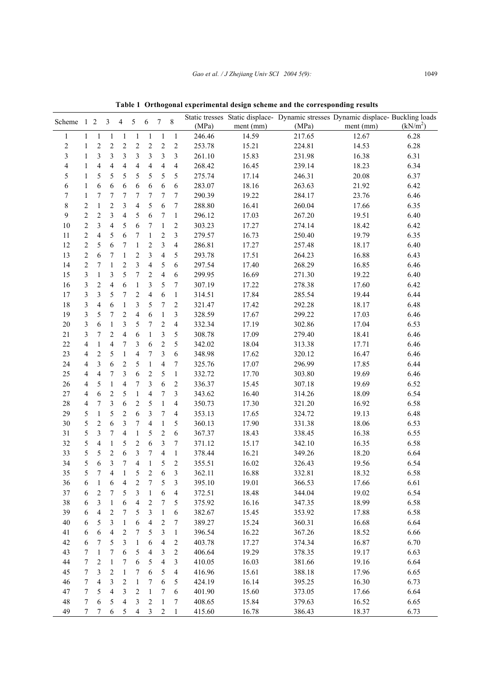| Scheme         |                | 2                           | 3              | 4                        | 5              | 6              | 7              | 8                             | Static tresses<br>(MPa) | ment (mm) | (MPa)  | Static displace - Dynamic stresses Dynamic displace - Buckling loads<br>ment (mm) | (kN/m <sup>2</sup> ) |
|----------------|----------------|-----------------------------|----------------|--------------------------|----------------|----------------|----------------|-------------------------------|-------------------------|-----------|--------|-----------------------------------------------------------------------------------|----------------------|
|                |                |                             |                |                          |                |                |                |                               | 246.46                  | 14.59     | 217.65 | 12.67                                                                             | 6.28                 |
| 2              |                | $\mathcal{D}_{\mathcal{A}}$ | $\mathfrak{D}$ | $\mathfrak{D}$           | $\overline{c}$ | $\mathfrak{D}$ | $\overline{2}$ | $\overline{c}$                | 253.78                  | 15.21     | 224.81 | 14.53                                                                             | 6.28                 |
| 3              |                | 3                           | 3              | 3                        | 3              | 3              | 3              | 3                             | 261.10                  | 15.83     | 231.98 | 16.38                                                                             | 6.31                 |
| 4              |                | 4                           | 4              | 4                        | 4              | 4              | 4              | 4                             | 268.42                  | 16.45     | 239.14 | 18.23                                                                             | 6.34                 |
| 5              |                | 5.                          | 5              | 5                        | 5              | 5              | 5              | 5                             | 275.74                  | 17.14     | 246.31 | 20.08                                                                             | 6.37                 |
| 6              |                | 6                           | 6              | 6                        | 6              | 6              | 6              | 6                             | 283.07                  | 18.16     | 263.63 | 21.92                                                                             | 6.42                 |
| 7              |                |                             | 7              | 7                        | 7              | 7              | 7              | $7\phantom{.0}$               | 290.39                  | 19.22     | 284.17 | 23.76                                                                             | 6.46                 |
| 8              | $\mathfrak{D}$ |                             | $\mathcal{D}$  | 3                        | 4              | 5              | 6              |                               | 288.80                  | 16.41     | 260.04 | 17.66                                                                             | 6.35                 |
| 9              | $\mathfrak{D}$ | $\mathfrak{D}$              | 3              | 4                        | 5              | 6              |                |                               | 296.12                  | 17.03     | 267.20 | 19.51                                                                             | 6.40                 |
| 10             | $\mathfrak{D}$ | 3                           | 4              | 5                        | 6              |                |                | $\mathfrak{D}_{\mathfrak{p}}$ | 303.23                  | 17.27     | 274.14 | 18.42                                                                             | 6.42                 |
| 11             | $\mathfrak{D}$ | 4                           | 5              | 6                        | 7              |                | $\mathfrak{D}$ | $\mathbf{3}$                  | 279.57                  | 16.73     | 250.40 | 19.79                                                                             | 6.35                 |
| 12             | $\mathfrak{D}$ | 5                           | 6              | $\tau$                   |                | $\mathfrak{D}$ | 3              | 4                             | 286.81                  | 17.27     | 257.48 | 18.17                                                                             | 6.40                 |
| 13             | $\mathcal{D}$  | 6                           |                |                          | $\mathfrak{D}$ | $\mathcal{L}$  | 4              | 5                             | 293.78                  | 17.51     | 264.23 | 16.88                                                                             | 6.43                 |
| $\blacksquare$ | $\sim$         |                             |                | $\overline{\phantom{0}}$ |                |                |                |                               | $207 - 1$               | $1 - 10$  | 2000   | $\sim$ $\sim$ $\sim$                                                              | $\sim$ $\sim$        |

**Table 1 Orthogonal experimental design scheme and the corresponding results**

| $\sqrt{2}$ | $\mathbf{1}$             | $\overline{c}$          | $\overline{c}$           | 2                        | 2                        | 2                        | $\overline{c}$           | 2                | 253.78 | 15.21 | 224.81 | 14.53 | 6.28 |
|------------|--------------------------|-------------------------|--------------------------|--------------------------|--------------------------|--------------------------|--------------------------|------------------|--------|-------|--------|-------|------|
| 3          | $\mathbf{1}$             | 3                       | 3                        | 3                        | 3                        | 3                        | 3                        | 3                | 261.10 | 15.83 | 231.98 | 16.38 | 6.31 |
| 4          | $\mathbf{1}$             | 4                       | $\overline{\mathcal{L}}$ | 4                        | 4                        | 4                        | $\overline{\mathcal{L}}$ | 4                | 268.42 | 16.45 | 239.14 | 18.23 | 6.34 |
| 5          | $\mathbf{1}$             | 5                       | 5                        | 5                        | 5                        | 5                        | 5                        | 5                | 275.74 | 17.14 | 246.31 | 20.08 | 6.37 |
| 6          | $\mathbf{1}$             | 6                       | 6                        | 6                        | 6                        | 6                        | 6                        | 6                | 283.07 | 18.16 | 263.63 | 21.92 | 6.42 |
| 7          | $\mathbf{1}$             | 7                       | 7                        | 7                        | 7                        | 7                        | 7                        | 7                | 290.39 | 19.22 | 284.17 | 23.76 | 6.46 |
| 8          | $\boldsymbol{2}$         | $\mathbf{1}$            | $\mathbf{2}$             | 3                        | $\overline{\mathcal{L}}$ | 5                        | 6                        | 7                | 288.80 | 16.41 | 260.04 | 17.66 | 6.35 |
| 9          | $\overline{c}$           | $\overline{c}$          | $\overline{\mathbf{3}}$  | 4                        | 5                        | $\sqrt{6}$               | 7                        | $\mathbf{1}$     | 296.12 | 17.03 | 267.20 | 19.51 | 6.40 |
| 10         | $\overline{c}$           | 3                       | $\overline{\mathcal{A}}$ | 5                        | $\sqrt{6}$               | 7                        | $\mathbf{1}$             | $\overline{c}$   | 303.23 | 17.27 | 274.14 | 18.42 | 6.42 |
| 11         | $\boldsymbol{2}$         | $\overline{\mathbf{4}}$ | 5                        | 6                        | 7                        | $\mathbf{1}$             | $\overline{c}$           | 3                | 279.57 | 16.73 | 250.40 | 19.79 | 6.35 |
| 12         | $\overline{c}$           | 5                       | 6                        | 7                        | $\mathbf{1}$             | $\overline{c}$           | 3                        | $\overline{4}$   | 286.81 | 17.27 | 257.48 | 18.17 | 6.40 |
| 13         | $\overline{c}$           | 6                       | 7                        | $\mathbf{1}$             | $\sqrt{2}$               | $\overline{\mathbf{3}}$  | $\overline{4}$           | 5                | 293.78 | 17.51 | 264.23 | 16.88 | 6.43 |
| 14         | $\overline{c}$           | 7                       | $\mathbf{1}$             | $\overline{c}$           | 3                        | $\overline{\mathcal{L}}$ | 5                        | 6                | 297.54 | 17.40 | 268.29 | 16.85 | 6.46 |
| 15         | $\mathfrak{Z}$           | $\mathbf{1}$            | 3                        | 5                        | $\boldsymbol{7}$         | $\overline{c}$           | $\overline{4}$           | 6                | 299.95 | 16.69 | 271.30 | 19.22 | 6.40 |
| 16         | $\mathfrak{Z}$           | $\overline{\mathbf{c}}$ | $\overline{\mathcal{L}}$ | 6                        | $\mathbf{1}$             | 3                        | 5                        | 7                | 307.19 | 17.22 | 278.38 | 17.60 | 6.42 |
| 17         | $\mathfrak{Z}$           | 3                       | 5                        | 7                        | $\sqrt{2}$               | $\overline{4}$           | 6                        | $\mathbf{1}$     | 314.51 | 17.84 | 285.54 | 19.44 | 6.44 |
| 18         | $\mathfrak{Z}$           | 4                       | 6                        | $\mathbf{1}$             | 3                        | 5                        | $\tau$                   | $\boldsymbol{2}$ | 321.47 | 17.42 | 292.28 | 18.17 | 6.48 |
| 19         | $\mathfrak{Z}$           | 5                       | 7                        | $\sqrt{2}$               | $\overline{\mathbf{4}}$  | 6                        | $\mathbf{1}$             | 3                | 328.59 | 17.67 | 299.22 | 17.03 | 6.46 |
| $20\,$     | $\mathfrak{Z}$           | 6                       | $\mathbf{1}$             | 3                        | 5                        | 7                        | $\overline{c}$           | $\overline{4}$   | 332.34 | 17.19 | 302.86 | 17.04 | 6.53 |
| 21         | $\mathfrak{Z}$           | 7                       | $\mathbf{2}$             | 4                        | 6                        | $\mathbf{1}$             | 3                        | 5                | 308.78 | 17.09 | 279.40 | 18.41 | 6.46 |
| 22         | $\overline{\mathbf{4}}$  | $\mathbf{1}$            | 4                        | 7                        | $\mathfrak{Z}$           | $\sqrt{6}$               | $\overline{c}$           | 5                | 342.02 | 18.04 | 313.38 | 17.71 | 6.46 |
| 23         | 4                        | $\overline{c}$          | 5                        | $\mathbf{1}$             | $\overline{\mathcal{L}}$ | 7                        | 3                        | 6                | 348.98 | 17.62 | 320.12 | 16.47 | 6.46 |
| 24         | 4                        | 3                       | 6                        | $\overline{c}$           | 5                        | $\mathbf{1}$             | $\overline{4}$           | $\tau$           | 325.76 | 17.07 | 296.99 | 17.85 | 6.44 |
| 25         | 4                        | 4                       | 7                        | 3                        | 6                        | $\overline{c}$           | 5                        | $\mathbf{1}$     | 332.72 | 17.70 | 303.80 | 19.69 | 6.46 |
| 26         | $\overline{\mathcal{L}}$ | 5                       | $\mathbf{1}$             | 4                        | $\boldsymbol{7}$         | 3                        | 6                        | $\overline{c}$   | 336.37 | 15.45 | 307.18 | 19.69 | 6.52 |
| 27         | 4                        | 6                       | $\overline{c}$           | 5                        | $\mathbf{1}$             | 4                        | $\tau$                   | 3                | 343.62 | 16.40 | 314.26 | 18.09 | 6.54 |
| 28         | 4                        | 7                       | 3                        | 6                        | $\mathbf{2}$             | 5                        | $\mathbf{1}$             | 4                | 350.73 | 17.30 | 321.20 | 16.92 | 6.58 |
| 29         | 5                        | $\mathbf{1}$            | 5                        | $\overline{c}$           | 6                        | 3                        | 7                        | $\overline{4}$   | 353.13 | 17.65 | 324.72 | 19.13 | 6.48 |
| 30         | 5                        | $\overline{c}$          | 6                        | 3                        | $\boldsymbol{7}$         | $\overline{\mathcal{L}}$ | $\mathbf{1}$             | 5                | 360.13 | 17.90 | 331.38 | 18.06 | 6.53 |
| 31         | 5                        | 3                       | 7                        | $\overline{\mathcal{L}}$ | $\mathbf{1}$             | 5                        | $\overline{c}$           | 6                | 367.37 | 18.43 | 338.45 | 16.38 | 6.55 |
| 32         | 5                        | 4                       | $\mathbf{1}$             | 5                        | $\boldsymbol{2}$         | 6                        | 3                        | $\tau$           | 371.12 | 15.17 | 342.10 | 16.35 | 6.58 |
| 33         | 5                        | 5                       | $\overline{c}$           | 6                        | $\mathfrak{Z}$           | 7                        | $\overline{4}$           | $\mathbf{1}$     | 378.44 | 16.21 | 349.26 | 18.20 | 6.64 |
| 34         | 5                        | 6                       | 3                        | 7                        | $\overline{4}$           | $\mathbf{1}$             | 5                        | $\boldsymbol{2}$ | 355.51 | 16.02 | 326.43 | 19.56 | 6.54 |
| 35         | 5                        | 7                       | $\overline{4}$           | $\mathbf{1}$             | 5                        | $\boldsymbol{2}$         | 6                        | $\mathfrak{Z}$   | 362.11 | 16.88 | 332.81 | 18.32 | 6.58 |
| 36         | 6                        | $\mathbf{1}$            | 6                        | 4                        | $\boldsymbol{2}$         | 7                        | 5                        | 3                | 395.10 | 19.01 | 366.53 | 17.66 | 6.61 |
| 37         | 6                        | $\overline{c}$          | 7                        | 5                        | $\mathfrak{Z}$           | $\mathbf{1}$             | 6                        | $\overline{4}$   | 372.51 | 18.48 | 344.04 | 19.02 | 6.54 |
| 38         | 6                        | $\mathfrak{Z}$          | $\mathbf{1}$             | $\sqrt{6}$               | $\overline{4}$           | $\sqrt{2}$               | $\boldsymbol{7}$         | 5                | 375.92 | 16.16 | 347.35 | 18.99 | 6.58 |
| 39         | 6                        | $\overline{4}$          | $\overline{2}$           | 7 <sup>7</sup>           | 5 <sup>5</sup>           | $\mathfrak{Z}$           | $\bar{1}$                | 6                | 382.67 | 15.45 | 353.92 | 17.88 | 6.58 |
| 40         | 6                        | 5                       | 3                        | 1                        | 6                        | 4                        | $\boldsymbol{2}$         | 7                | 389.27 | 15.24 | 360.31 | 16.68 | 6.64 |
| 41         | 6                        | 6                       | 4                        | 2                        | 7                        | 5                        | 3                        | $\mathbf{1}$     | 396.54 | 16.22 | 367.26 | 18.52 | 6.66 |
| 42         | 6                        | 7                       | 5                        | 3                        | $\mathbf{1}$             | 6                        | 4                        | 2                | 403.78 | 17.27 | 374.34 | 16.87 | 6.70 |
| 43         | 7                        | 1                       | 7                        | 6                        | 5                        | 4                        | 3                        | $\overline{c}$   | 406.64 | 19.29 | 378.35 | 19.17 | 6.63 |
| 44         | 7                        | $\overline{c}$          | $\mathbf{1}$             | 7                        | 6                        | 5                        | $\overline{4}$           | 3                | 410.05 | 16.03 | 381.66 | 19.16 | 6.64 |
| 45         | 7                        | 3                       | $\overline{c}$           | $\mathbf{1}$             | 7                        | 6                        | 5                        | 4                | 416.96 | 15.61 | 388.18 | 17.96 | 6.65 |
| 46         | 7                        | 4                       | 3                        | 2                        | $\mathbf{1}$             | 7                        | 6                        | 5                | 424.19 | 16.14 | 395.25 | 16.30 | 6.73 |
| 47         | 7                        | 5                       | 4                        | 3                        | 2                        | 1                        | 7                        | 6                | 401.90 | 15.60 | 373.05 | 17.66 | 6.64 |
| 48         | 7                        | 6                       | 5                        | $\overline{4}$           | 3                        | $\overline{c}$           | $\mathbf{1}$             | 7                | 408.65 | 15.84 | 379.63 | 16.52 | 6.65 |
| 49         | 7                        | 7                       | 6                        | 5                        | 4                        | 3                        | 2                        | 1                | 415.60 | 16.78 | 386.43 | 18.37 | 6.73 |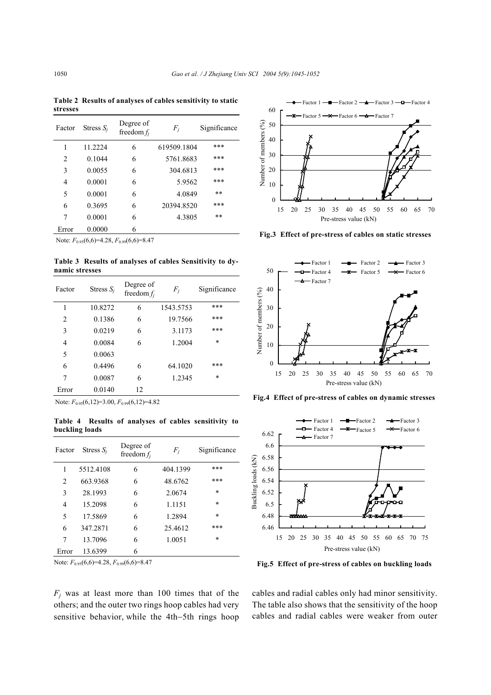**Table 2 Results of analyses of cables sensitivity to static stresses**

| Factor | Stress $S_i$ | Degree of<br>freedom $f_i$ | $F_i$       | Significance |
|--------|--------------|----------------------------|-------------|--------------|
| 1      | 11.2224      | 6                          | 619509.1804 | ***          |
| 2      | 0.1044       | 6                          | 5761.8683   | ***          |
| 3      | 0.0055       | 6                          | 304.6813    | ***          |
| 4      | 0.0001       | 6                          | 5.9562      | ***          |
| 5      | 0.0001       | 6                          | 4.0849      | $* *$        |
| 6      | 0.3695       | 6                          | 20394.8520  | ***          |
| 7      | 0.0001       | 6                          | 4.3805      | $**$         |
| Error  | 0.0000       | 6                          |             |              |

Note:  $F_{0.95}(6,6)=4.28, F_{0.99}(6,6)=8.47$ 

**Table 3 Results of analyses of cables Sensitivity to dynamic stresses**

| Factor         | Stress $S_i$ | Degree of<br>freedom $f_i$ | $F_i$     | Significance |
|----------------|--------------|----------------------------|-----------|--------------|
| 1              | 10.8272      | 6                          | 1543.5753 | ***          |
| $\overline{c}$ | 0.1386       | 6                          | 19.7566   | ***          |
| 3              | 0.0219       | 6                          | 3.1173    | ***          |
| $\overline{4}$ | 0.0084       | 6                          | 1.2004    | $\ast$       |
| 5              | 0.0063       |                            |           |              |
| 6              | 0.4496       | 6                          | 64.1020   | ***          |
| 7              | 0.0087       | 6                          | 1.2345    | $\ast$       |
| Error          | 0.0140       | 12                         |           |              |

Note: *F*0.95(6,12)=3.00, *F*0.99(6,12)=4.82

**Table 4 Results of analyses of cables sensitivity to buckling loads** 

| Factor | Stress $S_i$ | Degree of<br>freedom $f_i$ | $F_i$    | Significance |
|--------|--------------|----------------------------|----------|--------------|
| 1      | 5512.4108    | 6                          | 404.1399 | ***          |
| 2      | 663.9368     | 6                          | 48.6762  | ***          |
| 3      | 28.1993      | 6                          | 2.0674   | $\ast$       |
| 4      | 15.2098      | 6                          | 1.1151   | *            |
| 5      | 17.5869      | 6                          | 1.2894   | $\ast$       |
| 6      | 347.2871     | 6                          | 25.4612  | ***          |
| 7      | 13.7096      | 6                          | 1.0051   | $\ast$       |
| Error  | 13.6399      | 6                          |          |              |

Note: *F*0.95(6,6)=4.28, *F*0.99(6,6)=8.47

 $F_i$  was at least more than 100 times that of the others; and the outer two rings hoop cables had very sensitive behavior, while the 4th−5th rings hoop



**Fig.3 Effect of pre-stress of cables on static stresses** 



**Fig.4 Effect of pre-stress of cables on dynamic stresses**



**Fig.5 Effect of pre-stress of cables on buckling loads**

cables and radial cables only had minor sensitivity. The table also shows that the sensitivity of the hoop cables and radial cables were weaker from outer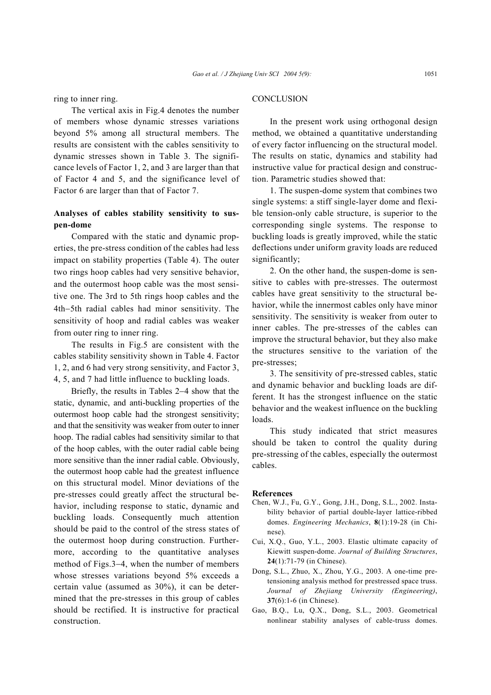ring to inner ring.

The vertical axis in Fig.4 denotes the number of members whose dynamic stresses variations beyond 5% among all structural members. The results are consistent with the cables sensitivity to dynamic stresses shown in Table 3. The significance levels of Factor 1, 2, and 3 are larger than that of Factor 4 and 5, and the significance level of Factor 6 are larger than that of Factor 7.

## **Analyses of cables stability sensitivity to suspen-dome**

Compared with the static and dynamic properties, the pre-stress condition of the cables had less impact on stability properties (Table 4). The outer two rings hoop cables had very sensitive behavior, and the outermost hoop cable was the most sensitive one. The 3rd to 5th rings hoop cables and the 4th−5th radial cables had minor sensitivity. The sensitivity of hoop and radial cables was weaker from outer ring to inner ring.

The results in Fig.5 are consistent with the cables stability sensitivity shown in Table 4. Factor 1, 2, and 6 had very strong sensitivity, and Factor 3, 4, 5, and 7 had little influence to buckling loads.

Briefly, the results in Tables 2−4 show that the static, dynamic, and anti-buckling properties of the outermost hoop cable had the strongest sensitivity; and that the sensitivity was weaker from outer to inner hoop. The radial cables had sensitivity similar to that of the hoop cables, with the outer radial cable being more sensitive than the inner radial cable. Obviously, the outermost hoop cable had the greatest influence on this structural model. Minor deviations of the pre-stresses could greatly affect the structural behavior, including response to static, dynamic and buckling loads. Consequently much attention should be paid to the control of the stress states of the outermost hoop during construction. Furthermore, according to the quantitative analyses method of Figs.3−4, when the number of members whose stresses variations beyond 5% exceeds a certain value (assumed as 30%), it can be determined that the pre-stresses in this group of cables should be rectified. It is instructive for practical construction.

#### **CONCLUSION**

In the present work using orthogonal design method, we obtained a quantitative understanding of every factor influencing on the structural model. The results on static, dynamics and stability had instructive value for practical design and construction. Parametric studies showed that:

1. The suspen-dome system that combines two single systems: a stiff single-layer dome and flexible tension-only cable structure, is superior to the corresponding single systems. The response to buckling loads is greatly improved, while the static deflections under uniform gravity loads are reduced significantly;

2. On the other hand, the suspen-dome is sensitive to cables with pre-stresses. The outermost cables have great sensitivity to the structural behavior, while the innermost cables only have minor sensitivity. The sensitivity is weaker from outer to inner cables. The pre-stresses of the cables can improve the structural behavior, but they also make the structures sensitive to the variation of the pre-stresses;

3. The sensitivity of pre-stressed cables, static and dynamic behavior and buckling loads are different. It has the strongest influence on the static behavior and the weakest influence on the buckling loads.

This study indicated that strict measures should be taken to control the quality during pre-stressing of the cables, especially the outermost cables.

#### **References**

- Chen, W.J., Fu, G.Y., Gong, J.H., Dong, S.L., 2002. Instability behavior of partial double-layer lattice-ribbed domes. *Engineering Mechanics*, **8**(1):19-28 (in Chinese).
- Cui, X.Q., Guo, Y.L., 2003. Elastic ultimate capacity of Kiewitt suspen-dome. *Journal of Building Structures*, **24**(1):71-79 (in Chinese).
- Dong, S.L., Zhuo, X., Zhou, Y.G., 2003. A one-time pretensioning analysis method for prestressed space truss. *Journal of Zhejiang University (Engineering)*, **37**(6):1-6 (in Chinese).
- Gao, B.Q., Lu, Q.X., Dong, S.L., 2003. Geometrical nonlinear stability analyses of cable-truss domes.